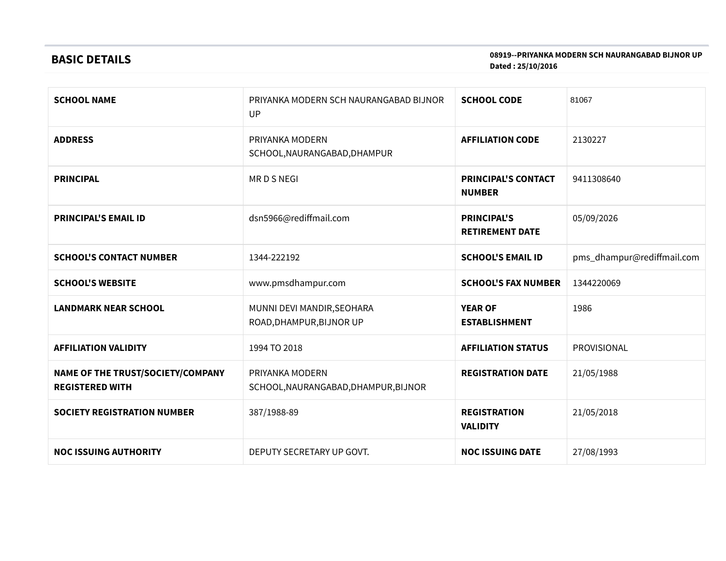# BASIC DETAILS

#### 08919--PRIYANKA MODERN SCH NAURANGABAD BIJNOR UP Dated : 25/10/2016

| <b>SCHOOL NAME</b>                                          | <b>SCHOOL CODE</b><br>PRIYANKA MODERN SCH NAURANGABAD BIJNOR<br>UP |                                              | 81067                      |
|-------------------------------------------------------------|--------------------------------------------------------------------|----------------------------------------------|----------------------------|
| <b>ADDRESS</b>                                              | PRIYANKA MODERN<br>SCHOOL, NAURANGABAD, DHAMPUR                    | <b>AFFILIATION CODE</b>                      | 2130227                    |
| <b>PRINCIPAL</b>                                            | <b>MRDSNEGI</b>                                                    | <b>PRINCIPAL'S CONTACT</b><br><b>NUMBER</b>  | 9411308640                 |
| <b>PRINCIPAL'S EMAIL ID</b>                                 | dsn5966@rediffmail.com                                             | <b>PRINCIPAL'S</b><br><b>RETIREMENT DATE</b> | 05/09/2026                 |
| <b>SCHOOL'S CONTACT NUMBER</b>                              | 1344-222192                                                        | <b>SCHOOL'S EMAIL ID</b>                     | pms_dhampur@rediffmail.com |
| <b>SCHOOL'S WEBSITE</b>                                     | www.pmsdhampur.com                                                 | <b>SCHOOL'S FAX NUMBER</b>                   | 1344220069                 |
| <b>LANDMARK NEAR SCHOOL</b>                                 | MUNNI DEVI MANDIR, SEOHARA<br>ROAD, DHAMPUR, BIJNOR UP             | <b>YEAR OF</b><br><b>ESTABLISHMENT</b>       | 1986                       |
| <b>AFFILIATION VALIDITY</b>                                 | 1994 TO 2018                                                       | <b>AFFILIATION STATUS</b>                    | PROVISIONAL                |
| NAME OF THE TRUST/SOCIETY/COMPANY<br><b>REGISTERED WITH</b> | PRIYANKA MODERN<br>SCHOOL, NAURANGABAD, DHAMPUR, BIJNOR            | <b>REGISTRATION DATE</b>                     | 21/05/1988                 |
| <b>SOCIETY REGISTRATION NUMBER</b>                          | 387/1988-89                                                        | <b>REGISTRATION</b><br><b>VALIDITY</b>       | 21/05/2018                 |
| <b>NOC ISSUING AUTHORITY</b>                                | DEPUTY SECRETARY UP GOVT.                                          | <b>NOC ISSUING DATE</b>                      | 27/08/1993                 |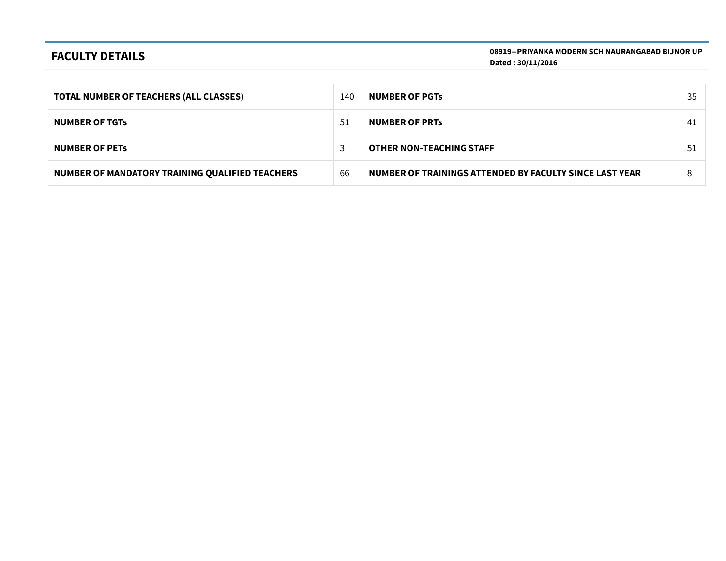## FACULTY DETAILS

08919--PRIYANKA MODERN SCH NAURANGABAD BIJNOR UP Dated : 30/11/2016

| <b>TOTAL NUMBER OF TEACHERS (ALL CLASSES)</b>   | 140 | <b>NUMBER OF PGTS</b>                                   | 35 |
|-------------------------------------------------|-----|---------------------------------------------------------|----|
| <b>NUMBER OF TGTS</b>                           | 51  | <b>NUMBER OF PRTS</b>                                   | 41 |
| <b>NUMBER OF PETS</b>                           |     | <b>OTHER NON-TEACHING STAFF</b>                         | 51 |
| NUMBER OF MANDATORY TRAINING QUALIFIED TEACHERS | 66  | NUMBER OF TRAININGS ATTENDED BY FACULTY SINCE LAST YEAR | 8  |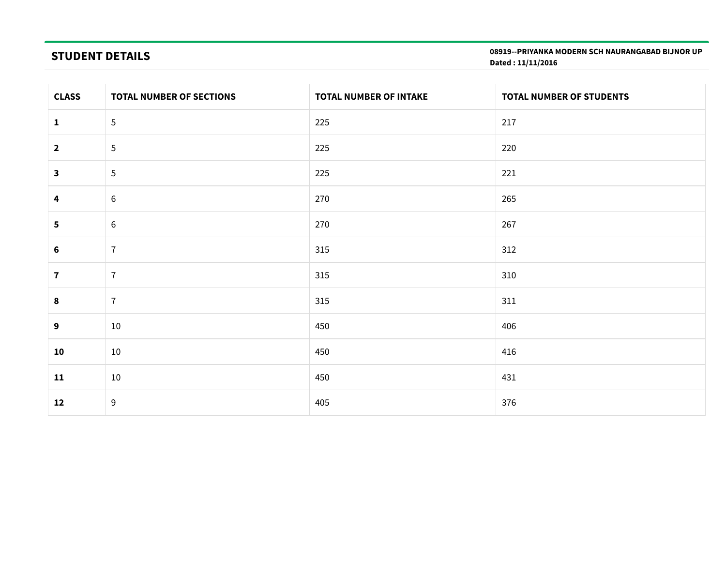# STUDENT DETAILS

08919--PRIYANKA MODERN SCH NAURANGABAD BIJNOR UP Dated : 11/11/2016

| <b>CLASS</b>            | TOTAL NUMBER OF SECTIONS | <b>TOTAL NUMBER OF INTAKE</b> | TOTAL NUMBER OF STUDENTS |
|-------------------------|--------------------------|-------------------------------|--------------------------|
| $\mathbf{1}$            | $\overline{5}$           | 225                           | 217                      |
| $\overline{\mathbf{2}}$ | 5                        | 225                           | 220                      |
| 3                       | $\sqrt{5}$               | 225                           | 221                      |
| 4                       | $\sqrt{6}$               | 270                           | 265                      |
| 5                       | $6\phantom{1}6$          | 270                           | 267                      |
| 6                       | $\overline{7}$           | 315                           | 312                      |
| $\mathbf{7}$            | $\overline{7}$           | 315                           | 310                      |
| 8                       | $\overline{1}$           | 315                           | 311                      |
| 9                       | 10                       | 450                           | 406                      |
| 10                      | 10                       | 450                           | 416                      |
| $11$                    | 10                       | 450                           | 431                      |
| 12                      | $9\,$                    | 405                           | 376                      |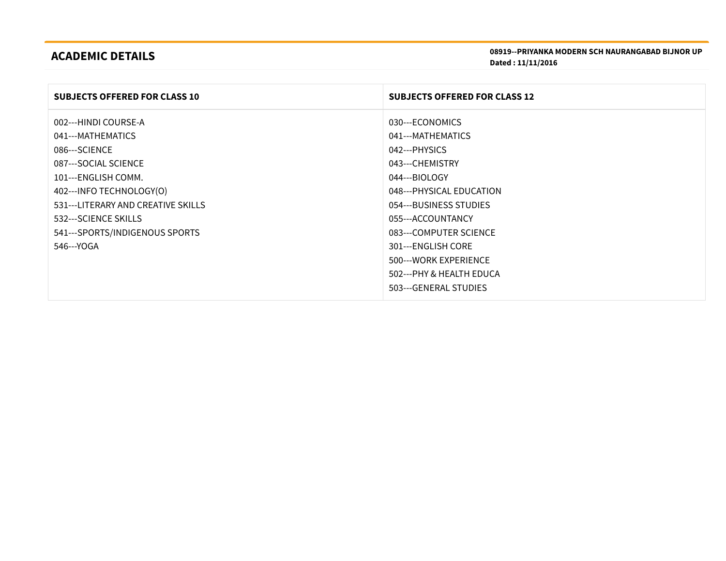# ACADEMIC DETAILS

| <b>SUBJECTS OFFERED FOR CLASS 10</b> | <b>SUBJECTS OFFERED FOR CLASS 12</b> |
|--------------------------------------|--------------------------------------|
| 002---HINDI COURSE-A                 | 030---ECONOMICS                      |
| 041---MATHEMATICS                    | 041---MATHEMATICS                    |
| 086---SCIENCE                        | 042---PHYSICS                        |
| 087---SOCIAL SCIENCE                 | 043---CHEMISTRY                      |
| 101---ENGLISH COMM.                  | 044---BIOLOGY                        |
| 402--- INFO TECHNOLOGY(O)            | 048---PHYSICAL EDUCATION             |
| 531---LITERARY AND CREATIVE SKILLS   | 054---BUSINESS STUDIES               |
| 532---SCIENCE SKILLS                 | 055---ACCOUNTANCY                    |
| 541---SPORTS/INDIGENOUS SPORTS       | 083---COMPUTER SCIENCE               |
| 546---YOGA                           | 301---ENGLISH CORE                   |
|                                      | 500---WORK EXPERIENCE                |
|                                      | 502---PHY & HEALTH EDUCA             |
|                                      | 503---GENERAL STUDIES                |
|                                      |                                      |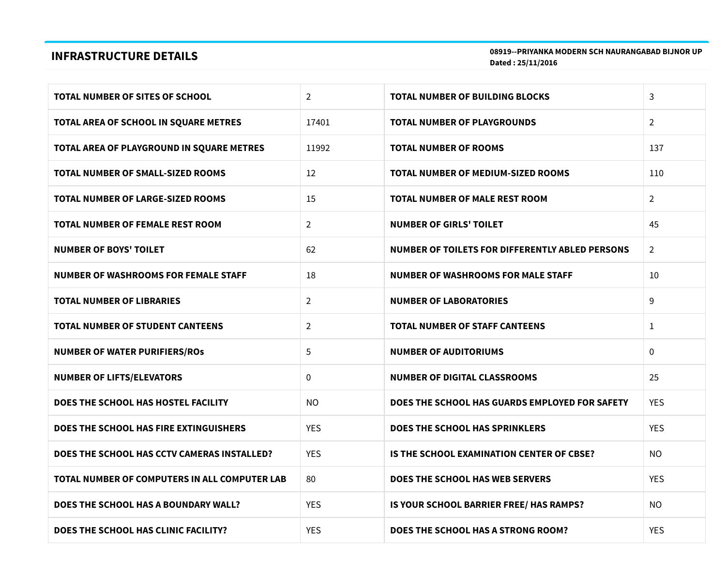## INFRASTRUCTURE DETAILS

08919--PRIYANKA MODERN SCH NAURANGABAD BIJNOR UP Dated : 25/11/2016

| <b>TOTAL NUMBER OF SITES OF SCHOOL</b>        | $\overline{2}$ | <b>TOTAL NUMBER OF BUILDING BLOCKS</b>          | 3              |
|-----------------------------------------------|----------------|-------------------------------------------------|----------------|
| TOTAL AREA OF SCHOOL IN SQUARE METRES         | 17401          | <b>TOTAL NUMBER OF PLAYGROUNDS</b>              | $\overline{2}$ |
| TOTAL AREA OF PLAYGROUND IN SQUARE METRES     | 11992          | <b>TOTAL NUMBER OF ROOMS</b>                    | 137            |
| TOTAL NUMBER OF SMALL-SIZED ROOMS             | 12             | TOTAL NUMBER OF MEDIUM-SIZED ROOMS              | 110            |
| <b>TOTAL NUMBER OF LARGE-SIZED ROOMS</b>      | 15             | TOTAL NUMBER OF MALE REST ROOM                  | $\overline{2}$ |
| <b>TOTAL NUMBER OF FEMALE REST ROOM</b>       | $\overline{2}$ | <b>NUMBER OF GIRLS' TOILET</b>                  | 45             |
| <b>NUMBER OF BOYS' TOILET</b>                 | 62             | NUMBER OF TOILETS FOR DIFFERENTLY ABLED PERSONS | $\overline{2}$ |
| <b>NUMBER OF WASHROOMS FOR FEMALE STAFF</b>   | 18             | <b>NUMBER OF WASHROOMS FOR MALE STAFF</b>       | 10             |
| <b>TOTAL NUMBER OF LIBRARIES</b>              | $\overline{2}$ | <b>NUMBER OF LABORATORIES</b>                   | 9              |
| <b>TOTAL NUMBER OF STUDENT CANTEENS</b>       | $\overline{2}$ | <b>TOTAL NUMBER OF STAFF CANTEENS</b>           | $\mathbf{1}$   |
| <b>NUMBER OF WATER PURIFIERS/ROS</b>          | 5              | <b>NUMBER OF AUDITORIUMS</b>                    | $\mathbf{0}$   |
| <b>NUMBER OF LIFTS/ELEVATORS</b>              | 0              | <b>NUMBER OF DIGITAL CLASSROOMS</b>             | 25             |
| DOES THE SCHOOL HAS HOSTEL FACILITY           | <b>NO</b>      | DOES THE SCHOOL HAS GUARDS EMPLOYED FOR SAFETY  | <b>YES</b>     |
| DOES THE SCHOOL HAS FIRE EXTINGUISHERS        | <b>YES</b>     | DOES THE SCHOOL HAS SPRINKLERS                  | <b>YES</b>     |
| DOES THE SCHOOL HAS CCTV CAMERAS INSTALLED?   | <b>YES</b>     | IS THE SCHOOL EXAMINATION CENTER OF CBSE?       | <b>NO</b>      |
| TOTAL NUMBER OF COMPUTERS IN ALL COMPUTER LAB | 80             | DOES THE SCHOOL HAS WEB SERVERS                 | <b>YES</b>     |
| DOES THE SCHOOL HAS A BOUNDARY WALL?          | <b>YES</b>     | IS YOUR SCHOOL BARRIER FREE/ HAS RAMPS?         | <b>NO</b>      |
| DOES THE SCHOOL HAS CLINIC FACILITY?          | <b>YES</b>     | DOES THE SCHOOL HAS A STRONG ROOM?              | <b>YES</b>     |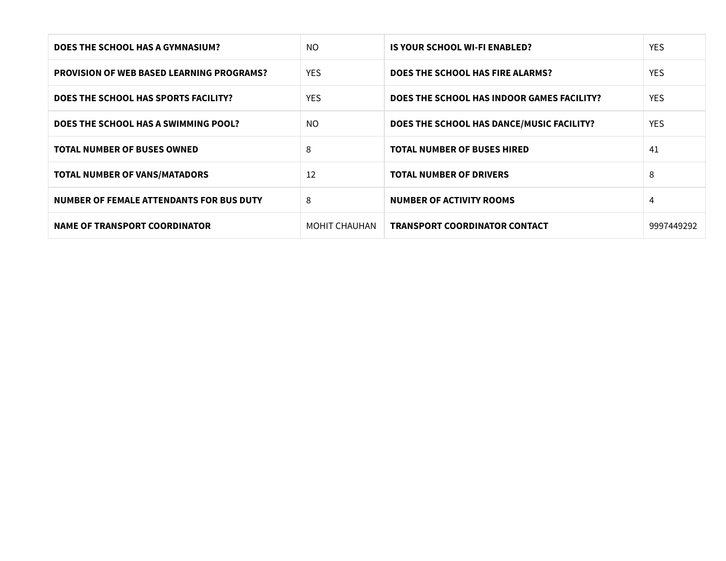| DOES THE SCHOOL HAS A GYMNASIUM?                 | NO.           | IS YOUR SCHOOL WI-FI ENABLED?              | YES.       |
|--------------------------------------------------|---------------|--------------------------------------------|------------|
| <b>PROVISION OF WEB BASED LEARNING PROGRAMS?</b> | <b>YES</b>    | DOES THE SCHOOL HAS FIRE ALARMS?           | YES.       |
| DOES THE SCHOOL HAS SPORTS FACILITY?             | <b>YES</b>    | DOES THE SCHOOL HAS INDOOR GAMES FACILITY? | YES.       |
| DOES THE SCHOOL HAS A SWIMMING POOL?             | NO.           | DOES THE SCHOOL HAS DANCE/MUSIC FACILITY?  | YES.       |
| <b>TOTAL NUMBER OF BUSES OWNED</b>               | 8             | <b>TOTAL NUMBER OF BUSES HIRED</b>         | 41         |
| <b>TOTAL NUMBER OF VANS/MATADORS</b>             | 12            | <b>TOTAL NUMBER OF DRIVERS</b>             | 8          |
| <b>NUMBER OF FEMALE ATTENDANTS FOR BUS DUTY</b>  | 8             | NUMBER OF ACTIVITY ROOMS                   | 4          |
| <b>NAME OF TRANSPORT COORDINATOR</b>             | MOHIT CHAUHAN | <b>TRANSPORT COORDINATOR CONTACT</b>       | 9997449292 |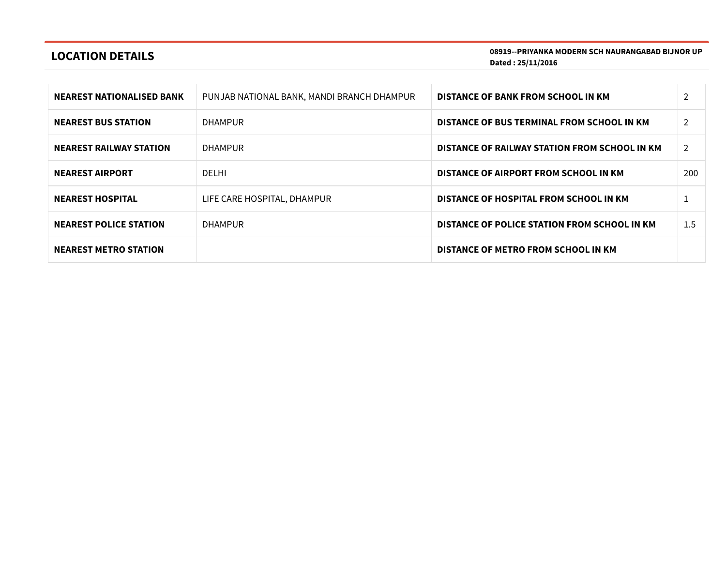# LOCATION DETAILS

08919--PRIYANKA MODERN SCH NAURANGABAD BIJNOR UP Dated : 25/11/2016

| <b>NEAREST NATIONALISED BANK</b> | PUNJAB NATIONAL BANK, MANDI BRANCH DHAMPUR | DISTANCE OF BANK FROM SCHOOL IN KM            |                |
|----------------------------------|--------------------------------------------|-----------------------------------------------|----------------|
| <b>NEAREST BUS STATION</b>       | <b>DHAMPUR</b>                             | DISTANCE OF BUS TERMINAL FROM SCHOOL IN KM    | $\overline{2}$ |
| <b>NEAREST RAILWAY STATION</b>   | <b>DHAMPUR</b>                             | DISTANCE OF RAILWAY STATION FROM SCHOOL IN KM | 2              |
| <b>NEAREST AIRPORT</b>           | DEI HI                                     | DISTANCE OF AIRPORT FROM SCHOOL IN KM         | 200            |
| <b>NEAREST HOSPITAL</b>          | LIFE CARE HOSPITAL, DHAMPUR                | DISTANCE OF HOSPITAL FROM SCHOOL IN KM        |                |
| <b>NEAREST POLICE STATION</b>    | <b>DHAMPUR</b>                             | DISTANCE OF POLICE STATION FROM SCHOOL IN KM  | 1.5            |
| <b>NEAREST METRO STATION</b>     |                                            | DISTANCE OF METRO FROM SCHOOL IN KM           |                |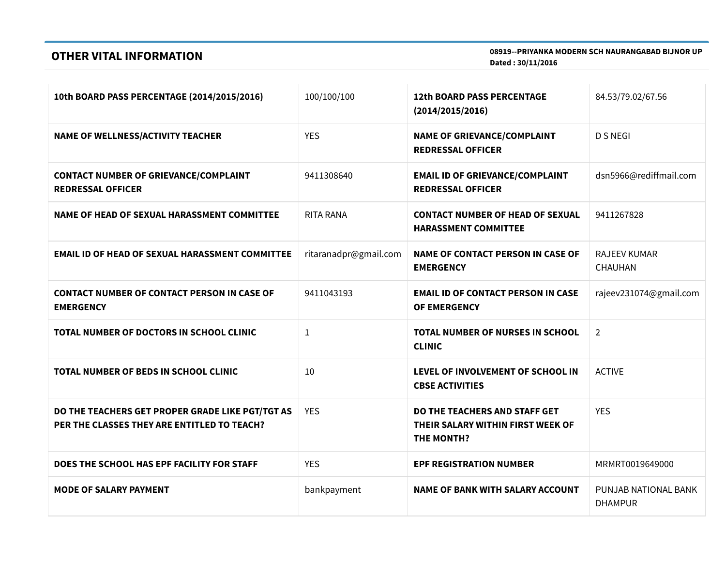## OTHER VITAL INFORMATION

08919--PRIYANKA MODERN SCH NAURANGABAD BIJNOR UP Dated : 30/11/2016

| 10th BOARD PASS PERCENTAGE (2014/2015/2016)                                                     | 100/100/100           | <b>12th BOARD PASS PERCENTAGE</b><br>(2014/2015/2016)                                   | 84.53/79.02/67.56                      |
|-------------------------------------------------------------------------------------------------|-----------------------|-----------------------------------------------------------------------------------------|----------------------------------------|
| <b>NAME OF WELLNESS/ACTIVITY TEACHER</b>                                                        | <b>YES</b>            | <b>NAME OF GRIEVANCE/COMPLAINT</b><br><b>REDRESSAL OFFICER</b>                          | <b>D S NEGI</b>                        |
| <b>CONTACT NUMBER OF GRIEVANCE/COMPLAINT</b><br><b>REDRESSAL OFFICER</b>                        | 9411308640            | <b>EMAIL ID OF GRIEVANCE/COMPLAINT</b><br><b>REDRESSAL OFFICER</b>                      | dsn5966@rediffmail.com                 |
| NAME OF HEAD OF SEXUAL HARASSMENT COMMITTEE                                                     | <b>RITA RANA</b>      | <b>CONTACT NUMBER OF HEAD OF SEXUAL</b><br><b>HARASSMENT COMMITTEE</b>                  | 9411267828                             |
| <b>EMAIL ID OF HEAD OF SEXUAL HARASSMENT COMMITTEE</b>                                          | ritaranadpr@gmail.com | <b>NAME OF CONTACT PERSON IN CASE OF</b><br><b>EMERGENCY</b>                            | <b>RAJEEV KUMAR</b><br>CHAUHAN         |
| <b>CONTACT NUMBER OF CONTACT PERSON IN CASE OF</b><br><b>EMERGENCY</b>                          | 9411043193            | <b>EMAIL ID OF CONTACT PERSON IN CASE</b><br><b>OF EMERGENCY</b>                        | rajeev231074@gmail.com                 |
| TOTAL NUMBER OF DOCTORS IN SCHOOL CLINIC                                                        | $\mathbf{1}$          | <b>TOTAL NUMBER OF NURSES IN SCHOOL</b><br><b>CLINIC</b>                                | $\overline{2}$                         |
| <b>TOTAL NUMBER OF BEDS IN SCHOOL CLINIC</b>                                                    | 10                    | LEVEL OF INVOLVEMENT OF SCHOOL IN<br><b>CBSE ACTIVITIES</b>                             | <b>ACTIVE</b>                          |
| DO THE TEACHERS GET PROPER GRADE LIKE PGT/TGT AS<br>PER THE CLASSES THEY ARE ENTITLED TO TEACH? | <b>YES</b>            | DO THE TEACHERS AND STAFF GET<br>THEIR SALARY WITHIN FIRST WEEK OF<br><b>THE MONTH?</b> | <b>YES</b>                             |
| DOES THE SCHOOL HAS EPF FACILITY FOR STAFF                                                      | <b>YES</b>            | <b>EPF REGISTRATION NUMBER</b>                                                          | MRMRT0019649000                        |
| <b>MODE OF SALARY PAYMENT</b>                                                                   | bankpayment           | <b>NAME OF BANK WITH SALARY ACCOUNT</b>                                                 | PUNJAB NATIONAL BANK<br><b>DHAMPUR</b> |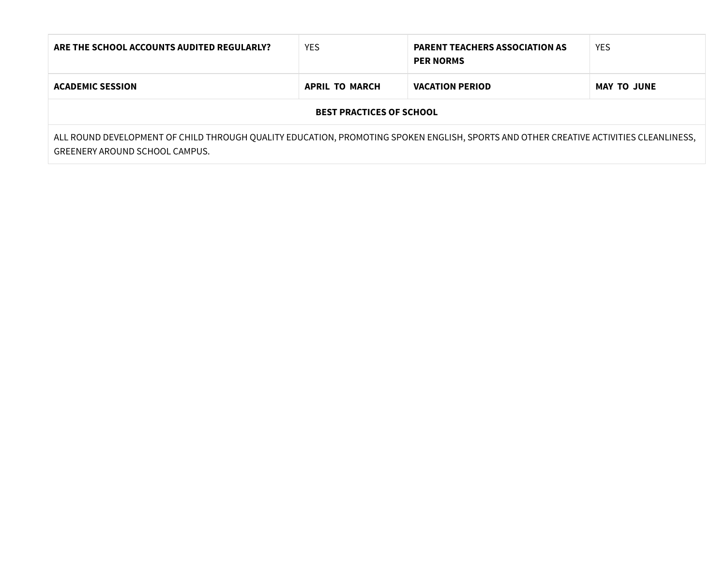| ARE THE SCHOOL ACCOUNTS AUDITED REGULARLY?                                                                                                                              | <b>YES</b>            | <b>PARENT TEACHERS ASSOCIATION AS</b><br><b>PER NORMS</b> | <b>YES</b>         |  |
|-------------------------------------------------------------------------------------------------------------------------------------------------------------------------|-----------------------|-----------------------------------------------------------|--------------------|--|
| <b>ACADEMIC SESSION</b>                                                                                                                                                 | <b>APRIL TO MARCH</b> | <b>VACATION PERIOD</b>                                    | <b>MAY TO JUNE</b> |  |
| <b>BEST PRACTICES OF SCHOOL</b>                                                                                                                                         |                       |                                                           |                    |  |
| ALL ROUND DEVELOPMENT OF CHILD THROUGH QUALITY EDUCATION, PROMOTING SPOKEN ENGLISH, SPORTS AND OTHER CREATIVE ACTIVITIES CLEANLINESS,<br>GREENERY AROUND SCHOOL CAMPUS. |                       |                                                           |                    |  |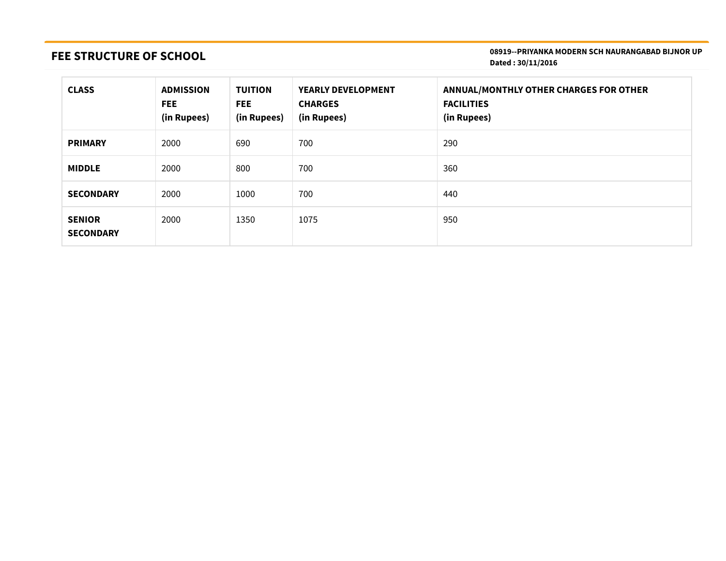# FEE STRUCTURE OF SCHOOL

#### 08919--PRIYANKA MODERN SCH NAURANGABAD BIJNOR UP Dated : 30/11/2016

| <b>CLASS</b>                      | <b>ADMISSION</b><br><b>FEE</b><br>(in Rupees) | <b>TUITION</b><br>FEE.<br>(in Rupees) | <b>YEARLY DEVELOPMENT</b><br><b>CHARGES</b><br>(in Rupees) | <b>ANNUAL/MONTHLY OTHER CHARGES FOR OTHER</b><br><b>FACILITIES</b><br>(in Rupees) |
|-----------------------------------|-----------------------------------------------|---------------------------------------|------------------------------------------------------------|-----------------------------------------------------------------------------------|
| <b>PRIMARY</b>                    | 2000                                          | 690                                   | 700                                                        | 290                                                                               |
| <b>MIDDLE</b>                     | 2000                                          | 800                                   | 700                                                        | 360                                                                               |
| <b>SECONDARY</b>                  | 2000                                          | 1000                                  | 700                                                        | 440                                                                               |
| <b>SENIOR</b><br><b>SECONDARY</b> | 2000                                          | 1350                                  | 1075                                                       | 950                                                                               |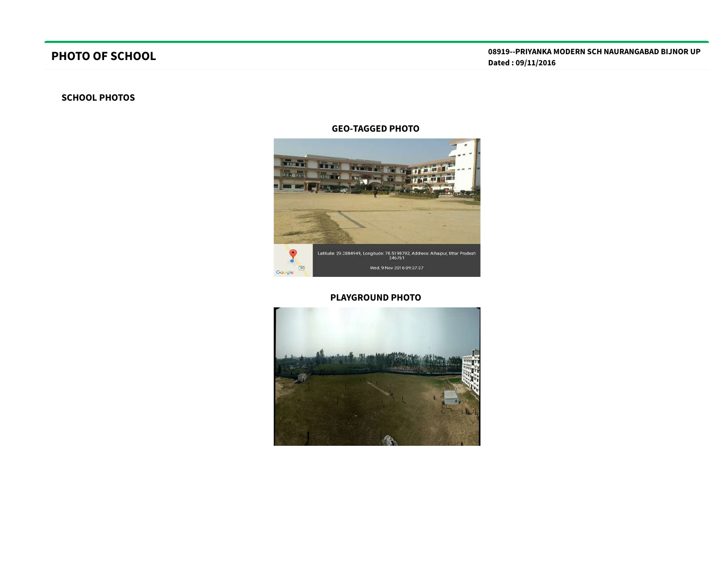# PHOTO OF SCHOOL

### SCHOOL PHOTOS

#### GEO-TAGGED PHOTO



### PLAYGROUND PHOTO

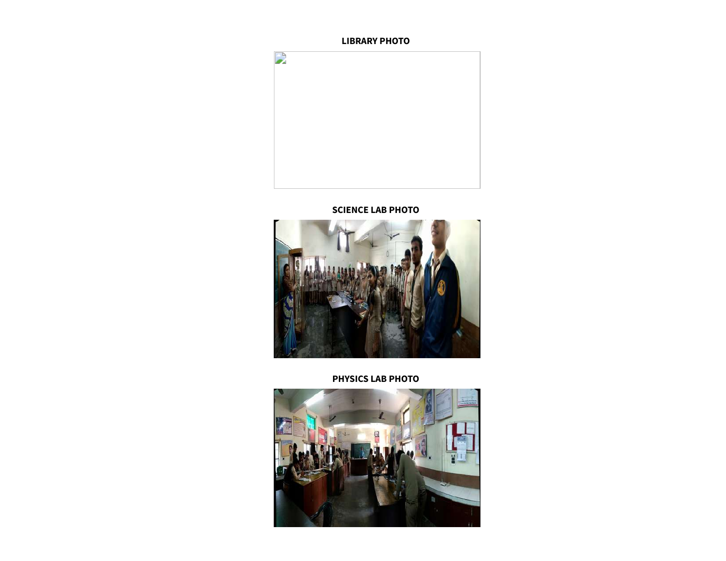



SCIENCE LAB PHOTO



PHYSICS LAB PHOTO